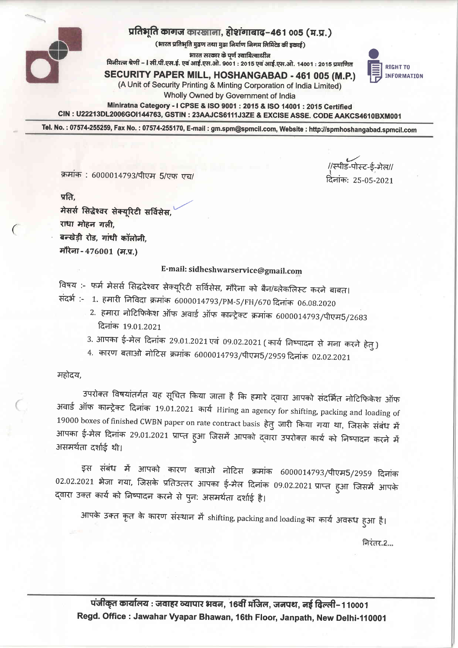

## प्रतिभूति कागज कारखाना, होशगाबाद-461 005 (म.प्र.)

(भारत प्रतिभूति मुद्रण तथा मुद्रा निर्माण निगम लिमिटेड की इकाई)

भारत सरकार के पर्ण स्वामित्वाधीन मिनीरत्न श्रेणी – । सी.पी.एस.ई. एवं आई.एस.ओ. 900 1 : 2015 एवं आई.एस.ओ. 14001 : 2015 प्रमाणित

SECURITY PAPER MILL, HOSHANGABAD - 461 005 (M.P.)

(A Unit of Security Printing & Minting Corporation of India Limited)

Wholly Owned by Government of India

Miniratna Category - I CPSE & ISO 9001 : 2015 & ISO 14001 : 2015 Certified CIN: U22213DL2006GOI144763, GSTIN: 23AAJCS6111J3ZE & EXCISE ASSE. CODE AAKCS4610BXM001

Tel. No.: 07574-255259, Fax No.: 07574-255170, E-mail: gm.spm@spmcil.com, Website: http://spmhoshangabad.spmcil.com

क्रमांक: 6000014793/पीएम 5/एफ एच/

//स्पीड-पोस्ट-ई-मेल//

**RIGHT TO** 

**INFORMATION** 

मेसर्स सिद्धेश्वर सेक्यूरिटी सर्विसेस, राधा मोहन गली. बन्खेड़ी रोड, गांधी कॉलोनी, मौरेना - 476001 (म.प्र.)

## E-mail: sidheshwarservice@gmail.com

विषय :- फर्म मेसर्स सिद्धदेश्वर सेक्यूरिटी सर्विसेस, मौरेना को बैन/ब्लेकलिस्ट करने बाबत। संदर्भ:- 1. हमारी निविदा क्रमांक 6000014793/PM-5/FH/670 दिनांक 06.08.2020

- 2. हमारा नोटिफिकेश ऑफ अवार्ड ऑफ कान्ट्रेक्ट क्रमांक 6000014793/पीएम5/2683 दिनांक 19.01.2021
- 3. आपका ई-मेल दिनांक 29.01.2021 एवं 09.02.2021 (कार्य निष्पादन से मना करने हेत् )
- 4. कारण बताओं नोटिस क्रमांक 6000014793/पीएम5/2959 दिनांक 02.02.2021

महोदय,

प्रति.

उपरोक्त विषयांतर्गत यह सूचित किया जाता है कि हमारे दवारा आपको संदर्भित नोटिफिकेश ऑफ अवार्ड ऑफ कान्ट्रेक्ट दिनांक 19.01.2021 कार्य Hiring an agency for shifting, packing and loading of 19000 boxes of finished CWBN paper on rate contract basis हेतु जारी किया गया था, जिसके संबंध में आपका ई-मेल दिनांक 29.01.2021 प्राप्त हुआ जिसमें आपको द्वारा उपरोक्त कार्य को निष्पादन करने में असमर्थता दर्शाई थी।

इस संबंध में आपको कारण बताओ नोटिस क्रमांक 6000014793/पीएम5/2959 दिनांक 02.02.2021 भेजा गया, जिसके प्रतिउत्तर आपका ई-मेल दिनांक 09.02.2021 प्राप्त हुआ जिसमें आपके द्वारा उक्त कार्य को निष्पादन करने से पुन: असमर्थता दर्शाई है।

आपके उक्त कृत के कारण संस्थान में shifting, packing and loading का कार्य अवरूध हुआ है।

निरंतर.2...

पंजीकृत कार्यालय : जवाहर व्यापार भवन, 16वीं मंजिल, जनपथ, नई दिल्ली–110001 Regd. Office: Jawahar Vyapar Bhawan, 16th Floor, Janpath, New Delhi-110001